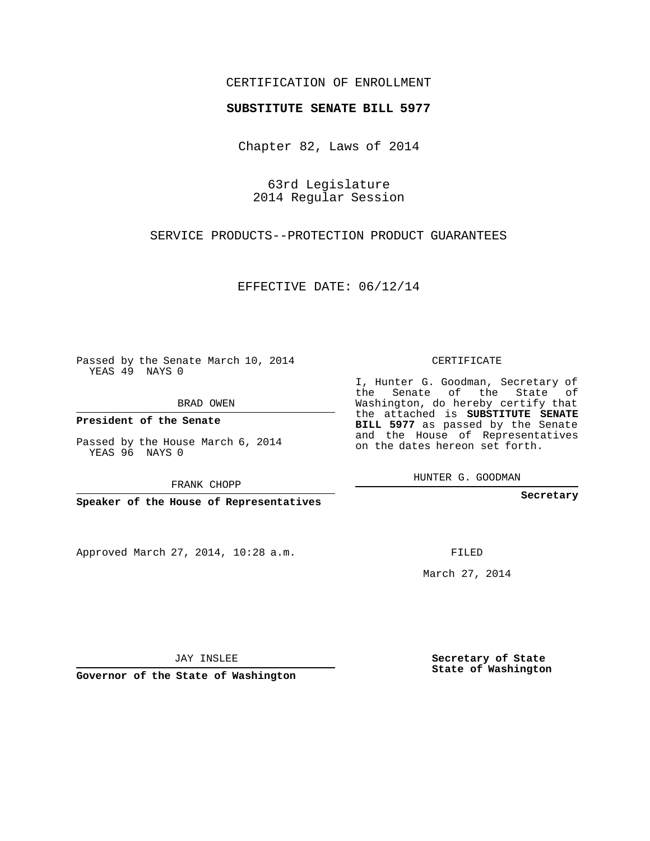## CERTIFICATION OF ENROLLMENT

## **SUBSTITUTE SENATE BILL 5977**

Chapter 82, Laws of 2014

63rd Legislature 2014 Regular Session

SERVICE PRODUCTS--PROTECTION PRODUCT GUARANTEES

EFFECTIVE DATE: 06/12/14

Passed by the Senate March 10, 2014 YEAS 49 NAYS 0

BRAD OWEN

**President of the Senate**

Passed by the House March 6, 2014 YEAS 96 NAYS 0

FRANK CHOPP

**Speaker of the House of Representatives**

Approved March 27, 2014, 10:28 a.m.

CERTIFICATE

I, Hunter G. Goodman, Secretary of the Senate of the State of Washington, do hereby certify that the attached is **SUBSTITUTE SENATE BILL 5977** as passed by the Senate and the House of Representatives on the dates hereon set forth.

HUNTER G. GOODMAN

**Secretary**

FILED

March 27, 2014

**Secretary of State State of Washington**

JAY INSLEE

**Governor of the State of Washington**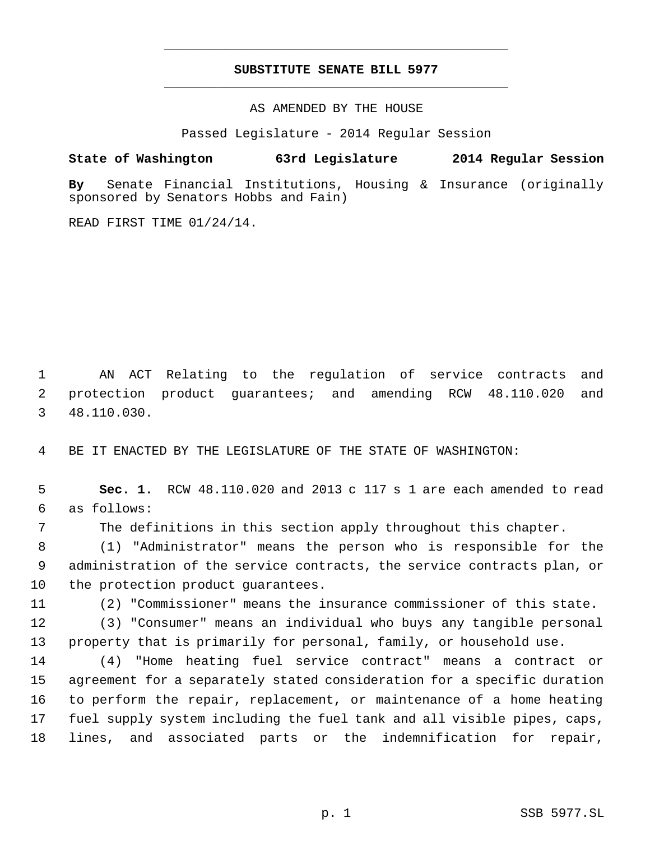## **SUBSTITUTE SENATE BILL 5977** \_\_\_\_\_\_\_\_\_\_\_\_\_\_\_\_\_\_\_\_\_\_\_\_\_\_\_\_\_\_\_\_\_\_\_\_\_\_\_\_\_\_\_\_\_

\_\_\_\_\_\_\_\_\_\_\_\_\_\_\_\_\_\_\_\_\_\_\_\_\_\_\_\_\_\_\_\_\_\_\_\_\_\_\_\_\_\_\_\_\_

AS AMENDED BY THE HOUSE

Passed Legislature - 2014 Regular Session

## **State of Washington 63rd Legislature 2014 Regular Session**

**By** Senate Financial Institutions, Housing & Insurance (originally sponsored by Senators Hobbs and Fain)

READ FIRST TIME 01/24/14.

 AN ACT Relating to the regulation of service contracts and protection product guarantees; and amending RCW 48.110.020 and 48.110.030.

BE IT ENACTED BY THE LEGISLATURE OF THE STATE OF WASHINGTON:

 **Sec. 1.** RCW 48.110.020 and 2013 c 117 s 1 are each amended to read as follows:

The definitions in this section apply throughout this chapter.

 (1) "Administrator" means the person who is responsible for the administration of the service contracts, the service contracts plan, or the protection product guarantees.

(2) "Commissioner" means the insurance commissioner of this state.

 (3) "Consumer" means an individual who buys any tangible personal property that is primarily for personal, family, or household use.

 (4) "Home heating fuel service contract" means a contract or agreement for a separately stated consideration for a specific duration to perform the repair, replacement, or maintenance of a home heating fuel supply system including the fuel tank and all visible pipes, caps, lines, and associated parts or the indemnification for repair,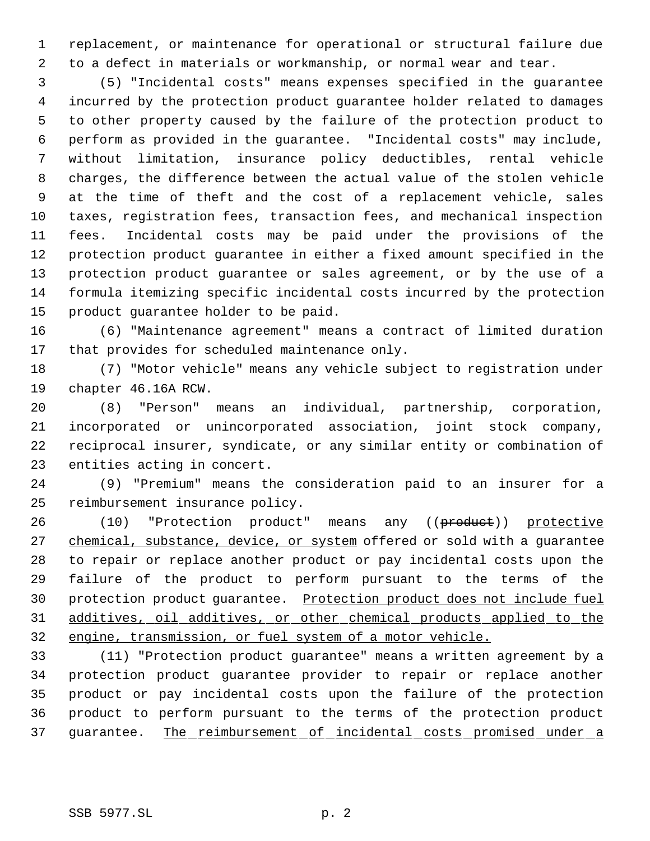replacement, or maintenance for operational or structural failure due to a defect in materials or workmanship, or normal wear and tear.

 (5) "Incidental costs" means expenses specified in the guarantee incurred by the protection product guarantee holder related to damages to other property caused by the failure of the protection product to perform as provided in the guarantee. "Incidental costs" may include, without limitation, insurance policy deductibles, rental vehicle charges, the difference between the actual value of the stolen vehicle at the time of theft and the cost of a replacement vehicle, sales taxes, registration fees, transaction fees, and mechanical inspection fees. Incidental costs may be paid under the provisions of the protection product guarantee in either a fixed amount specified in the protection product guarantee or sales agreement, or by the use of a formula itemizing specific incidental costs incurred by the protection product guarantee holder to be paid.

 (6) "Maintenance agreement" means a contract of limited duration that provides for scheduled maintenance only.

 (7) "Motor vehicle" means any vehicle subject to registration under chapter 46.16A RCW.

 (8) "Person" means an individual, partnership, corporation, incorporated or unincorporated association, joint stock company, reciprocal insurer, syndicate, or any similar entity or combination of entities acting in concert.

 (9) "Premium" means the consideration paid to an insurer for a reimbursement insurance policy.

26 (10) "Protection product" means any ((product)) protective 27 chemical, substance, device, or system offered or sold with a guarantee to repair or replace another product or pay incidental costs upon the failure of the product to perform pursuant to the terms of the 30 protection product guarantee. Protection product does not include fuel additives, oil additives, or other chemical products applied to the engine, transmission, or fuel system of a motor vehicle.

 (11) "Protection product guarantee" means a written agreement by a protection product guarantee provider to repair or replace another product or pay incidental costs upon the failure of the protection product to perform pursuant to the terms of the protection product 37 guarantee. The reimbursement of incidental costs promised under a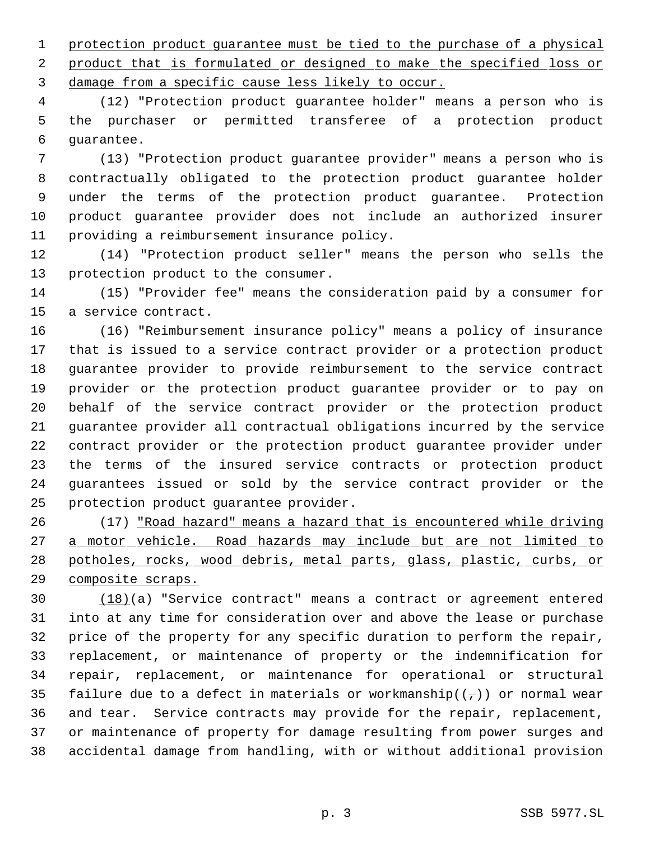protection product guarantee must be tied to the purchase of a physical 2 product that is formulated or designed to make the specified loss or damage from a specific cause less likely to occur.

 (12) "Protection product guarantee holder" means a person who is the purchaser or permitted transferee of a protection product guarantee.

 (13) "Protection product guarantee provider" means a person who is contractually obligated to the protection product guarantee holder under the terms of the protection product guarantee. Protection product guarantee provider does not include an authorized insurer providing a reimbursement insurance policy.

 (14) "Protection product seller" means the person who sells the protection product to the consumer.

 (15) "Provider fee" means the consideration paid by a consumer for a service contract.

 (16) "Reimbursement insurance policy" means a policy of insurance that is issued to a service contract provider or a protection product guarantee provider to provide reimbursement to the service contract provider or the protection product guarantee provider or to pay on behalf of the service contract provider or the protection product guarantee provider all contractual obligations incurred by the service contract provider or the protection product guarantee provider under the terms of the insured service contracts or protection product guarantees issued or sold by the service contract provider or the protection product guarantee provider.

 (17) "Road hazard" means a hazard that is encountered while driving 27 a motor vehicle. Road hazards may include but are not limited to potholes, rocks, wood debris, metal parts, glass, plastic, curbs, or composite scraps.

 (18)(a) "Service contract" means a contract or agreement entered into at any time for consideration over and above the lease or purchase price of the property for any specific duration to perform the repair, replacement, or maintenance of property or the indemnification for repair, replacement, or maintenance for operational or structural 35 failure due to a defect in materials or workmanship( $(\tau)$ ) or normal wear and tear. Service contracts may provide for the repair, replacement, or maintenance of property for damage resulting from power surges and accidental damage from handling, with or without additional provision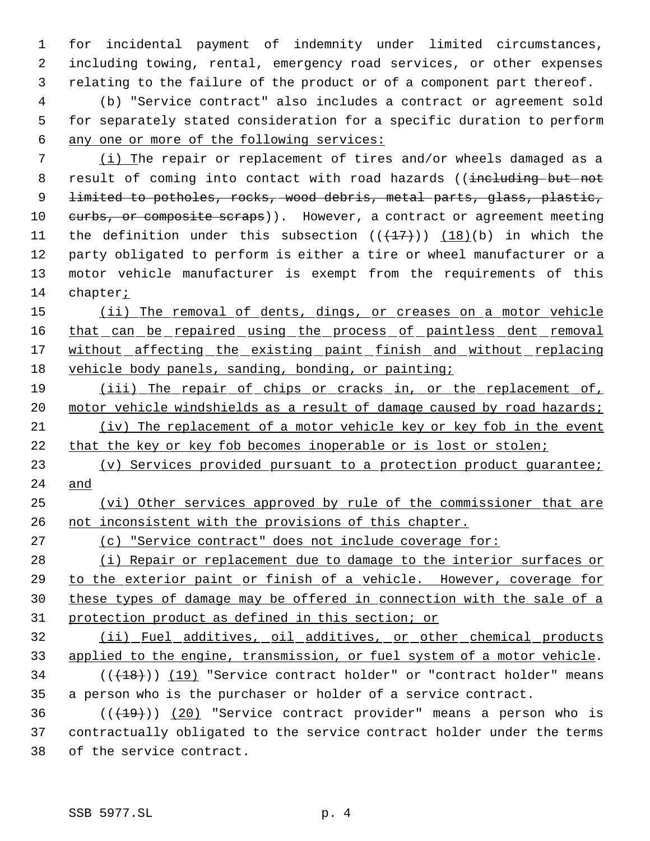for incidental payment of indemnity under limited circumstances, including towing, rental, emergency road services, or other expenses relating to the failure of the product or of a component part thereof.

 (b) "Service contract" also includes a contract or agreement sold for separately stated consideration for a specific duration to perform any one or more of the following services:

 (i) The repair or replacement of tires and/or wheels damaged as a 8 result of coming into contact with road hazards ((including but not 9 <del>limited to potholes, rocks, wood debris, metal parts, glass, plastic,</del> 10 curbs, or composite scraps)). However, a contract or agreement meeting 11 the definition under this subsection  $((+17))$   $(18)(b)$  in which the party obligated to perform is either a tire or wheel manufacturer or a motor vehicle manufacturer is exempt from the requirements of this chapter;

 (ii) The removal of dents, dings, or creases on a motor vehicle 16 that can be repaired using the process of paintless dent removal 17 without affecting the existing paint finish and without replacing 18 vehicle body panels, sanding, bonding, or painting;

 (iii) The repair of chips or cracks in, or the replacement of, 20 motor vehicle windshields as a result of damage caused by road hazards; (iv) The replacement of a motor vehicle key or key fob in the event 22 that the key or key fob becomes inoperable or is lost or stolen;

23 (v) Services provided pursuant to a protection product quarantee; and

 (vi) Other services approved by rule of the commissioner that are 26 not inconsistent with the provisions of this chapter.

(c) "Service contract" does not include coverage for:

28 (i) Repair or replacement due to damage to the interior surfaces or to the exterior paint or finish of a vehicle. However, coverage for these types of damage may be offered in connection with the sale of a protection product as defined in this section; or

 (ii) Fuel additives, oil additives, or other chemical products 33 applied to the engine, transmission, or fuel system of a motor vehicle.

34 (( $(18)$ )) (19) "Service contract holder" or "contract holder" means a person who is the purchaser or holder of a service contract.

 $((+19))$  (20) "Service contract provider" means a person who is contractually obligated to the service contract holder under the terms of the service contract.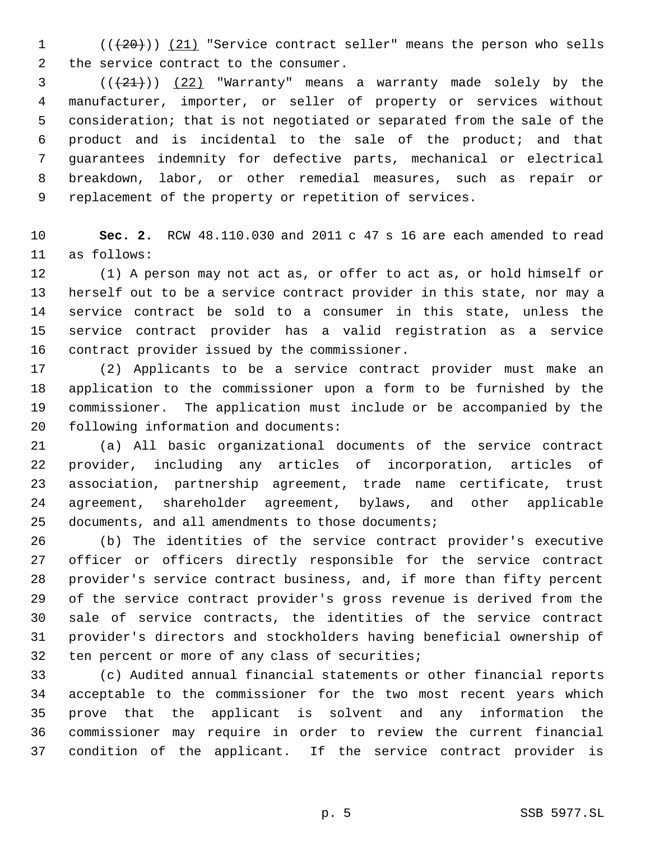1  $((+20))$   $(21)$  "Service contract seller" means the person who sells the service contract to the consumer.

 $(1 + 21)$ ) (22) "Warranty" means a warranty made solely by the manufacturer, importer, or seller of property or services without consideration; that is not negotiated or separated from the sale of the product and is incidental to the sale of the product; and that guarantees indemnity for defective parts, mechanical or electrical breakdown, labor, or other remedial measures, such as repair or replacement of the property or repetition of services.

 **Sec. 2.** RCW 48.110.030 and 2011 c 47 s 16 are each amended to read as follows:

 (1) A person may not act as, or offer to act as, or hold himself or herself out to be a service contract provider in this state, nor may a service contract be sold to a consumer in this state, unless the service contract provider has a valid registration as a service contract provider issued by the commissioner.

 (2) Applicants to be a service contract provider must make an application to the commissioner upon a form to be furnished by the commissioner. The application must include or be accompanied by the following information and documents:

 (a) All basic organizational documents of the service contract provider, including any articles of incorporation, articles of association, partnership agreement, trade name certificate, trust agreement, shareholder agreement, bylaws, and other applicable documents, and all amendments to those documents;

 (b) The identities of the service contract provider's executive officer or officers directly responsible for the service contract provider's service contract business, and, if more than fifty percent of the service contract provider's gross revenue is derived from the sale of service contracts, the identities of the service contract provider's directors and stockholders having beneficial ownership of ten percent or more of any class of securities;

 (c) Audited annual financial statements or other financial reports acceptable to the commissioner for the two most recent years which prove that the applicant is solvent and any information the commissioner may require in order to review the current financial condition of the applicant. If the service contract provider is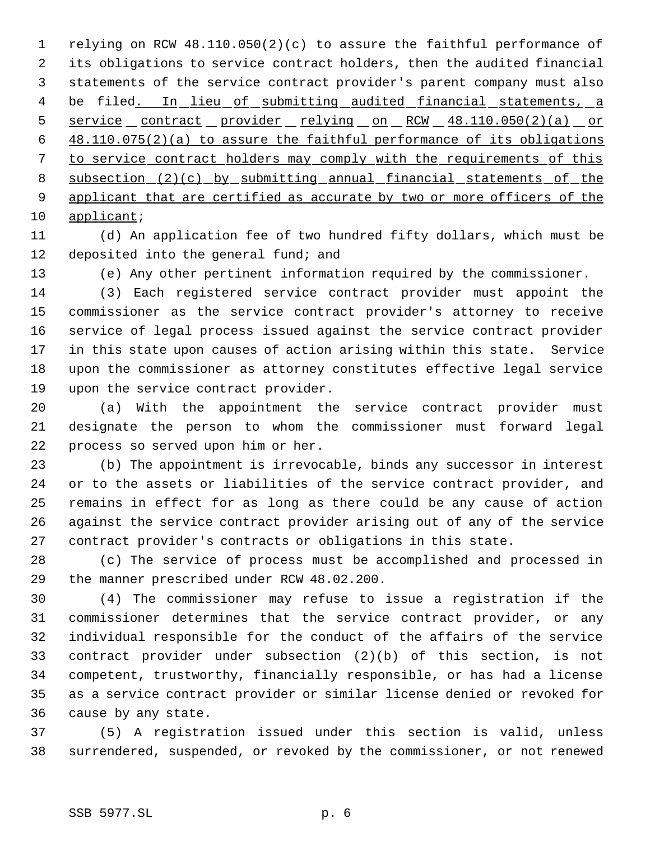relying on RCW 48.110.050(2)(c) to assure the faithful performance of its obligations to service contract holders, then the audited financial statements of the service contract provider's parent company must also 4 be filed. In lieu of submitting audited financial statements, a 5 service contract provider relying on RCW 48.110.050(2)(a) or 48.110.075(2)(a) to assure the faithful performance of its obligations to service contract holders may comply with the requirements of this 8 subsection (2)(c) by submitting annual financial statements of the 9 applicant that are certified as accurate by two or more officers of the applicant;

 (d) An application fee of two hundred fifty dollars, which must be 12 deposited into the general fund; and

(e) Any other pertinent information required by the commissioner.

 (3) Each registered service contract provider must appoint the commissioner as the service contract provider's attorney to receive service of legal process issued against the service contract provider in this state upon causes of action arising within this state. Service upon the commissioner as attorney constitutes effective legal service upon the service contract provider.

 (a) With the appointment the service contract provider must designate the person to whom the commissioner must forward legal process so served upon him or her.

 (b) The appointment is irrevocable, binds any successor in interest or to the assets or liabilities of the service contract provider, and remains in effect for as long as there could be any cause of action against the service contract provider arising out of any of the service contract provider's contracts or obligations in this state.

 (c) The service of process must be accomplished and processed in the manner prescribed under RCW 48.02.200.

 (4) The commissioner may refuse to issue a registration if the commissioner determines that the service contract provider, or any individual responsible for the conduct of the affairs of the service contract provider under subsection (2)(b) of this section, is not competent, trustworthy, financially responsible, or has had a license as a service contract provider or similar license denied or revoked for cause by any state.

 (5) A registration issued under this section is valid, unless surrendered, suspended, or revoked by the commissioner, or not renewed